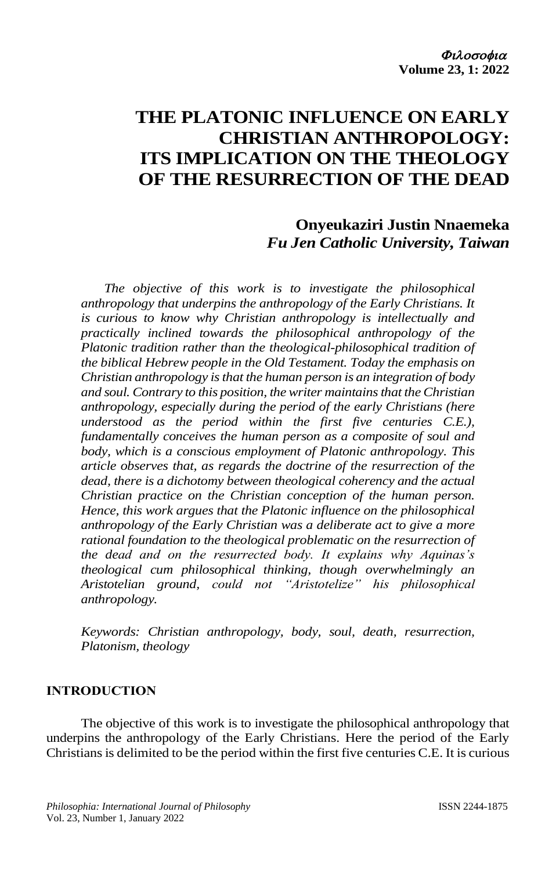# **THE PLATONIC INFLUENCE ON EARLY CHRISTIAN ANTHROPOLOGY: ITS IMPLICATION ON THE THEOLOGY OF THE RESURRECTION OF THE DEAD**

**Onyeukaziri Justin Nnaemeka** *Fu Jen Catholic University, Taiwan*

*The objective of this work is to investigate the philosophical anthropology that underpins the anthropology of the Early Christians. It is curious to know why Christian anthropology is intellectually and practically inclined towards the philosophical anthropology of the Platonic tradition rather than the theological-philosophical tradition of the biblical Hebrew people in the Old Testament. Today the emphasis on Christian anthropology is that the human person is an integration of body and soul. Contrary to this position, the writer maintains that the Christian anthropology, especially during the period of the early Christians (here understood as the period within the first five centuries C.E.), fundamentally conceives the human person as a composite of soul and body, which is a conscious employment of Platonic anthropology. This article observes that, as regards the doctrine of the resurrection of the dead, there is a dichotomy between theological coherency and the actual Christian practice on the Christian conception of the human person. Hence, this work argues that the Platonic influence on the philosophical anthropology of the Early Christian was a deliberate act to give a more rational foundation to the theological problematic on the resurrection of the dead and on the resurrected body. It explains why Aquinas's theological cum philosophical thinking, though overwhelmingly an Aristotelian ground, could not "Aristotelize" his philosophical anthropology.* 

*Keywords: Christian anthropology, body, soul, death, resurrection, Platonism, theology*

## **INTRODUCTION**

The objective of this work is to investigate the philosophical anthropology that underpins the anthropology of the Early Christians. Here the period of the Early Christians is delimited to be the period within the first five centuries C.E. It is curious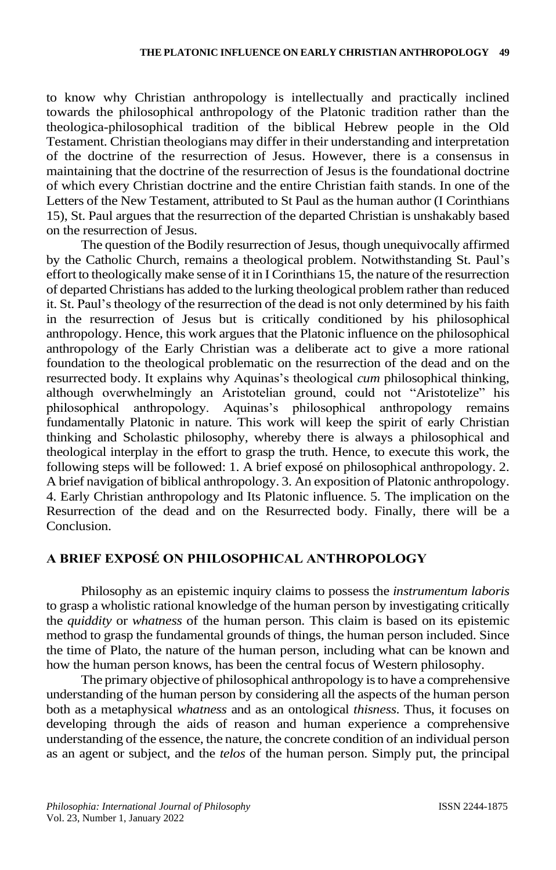to know why Christian anthropology is intellectually and practically inclined towards the philosophical anthropology of the Platonic tradition rather than the theologica-philosophical tradition of the biblical Hebrew people in the Old Testament. Christian theologians may differ in their understanding and interpretation of the doctrine of the resurrection of Jesus. However, there is a consensus in maintaining that the doctrine of the resurrection of Jesus is the foundational doctrine of which every Christian doctrine and the entire Christian faith stands. In one of the Letters of the New Testament, attributed to St Paul as the human author (I Corinthians 15), St. Paul argues that the resurrection of the departed Christian is unshakably based on the resurrection of Jesus.

The question of the Bodily resurrection of Jesus, though unequivocally affirmed by the Catholic Church, remains a theological problem. Notwithstanding St. Paul's effort to theologically make sense of it in I Corinthians 15, the nature of the resurrection of departed Christians has added to the lurking theological problem rather than reduced it. St. Paul's theology of the resurrection of the dead is not only determined by his faith in the resurrection of Jesus but is critically conditioned by his philosophical anthropology. Hence, this work argues that the Platonic influence on the philosophical anthropology of the Early Christian was a deliberate act to give a more rational foundation to the theological problematic on the resurrection of the dead and on the resurrected body. It explains why Aquinas's theological *cum* philosophical thinking, although overwhelmingly an Aristotelian ground, could not "Aristotelize" his philosophical anthropology. Aquinas's philosophical anthropology remains fundamentally Platonic in nature. This work will keep the spirit of early Christian thinking and Scholastic philosophy, whereby there is always a philosophical and theological interplay in the effort to grasp the truth. Hence, to execute this work, the following steps will be followed: 1. A brief exposé on philosophical anthropology. 2. A brief navigation of biblical anthropology. 3. An exposition of Platonic anthropology. 4. Early Christian anthropology and Its Platonic influence. 5. The implication on the Resurrection of the dead and on the Resurrected body. Finally, there will be a **Conclusion** 

# **A BRIEF EXPOSÉ ON PHILOSOPHICAL ANTHROPOLOGY**

Philosophy as an epistemic inquiry claims to possess the *instrumentum laboris* to grasp a wholistic rational knowledge of the human person by investigating critically the *quiddity* or *whatness* of the human person. This claim is based on its epistemic method to grasp the fundamental grounds of things, the human person included. Since the time of Plato, the nature of the human person, including what can be known and how the human person knows, has been the central focus of Western philosophy.

The primary objective of philosophical anthropology isto have a comprehensive understanding of the human person by considering all the aspects of the human person both as a metaphysical *whatness* and as an ontological *thisness*. Thus, it focuses on developing through the aids of reason and human experience a comprehensive understanding of the essence, the nature, the concrete condition of an individual person as an agent or subject, and the *telos* of the human person. Simply put, the principal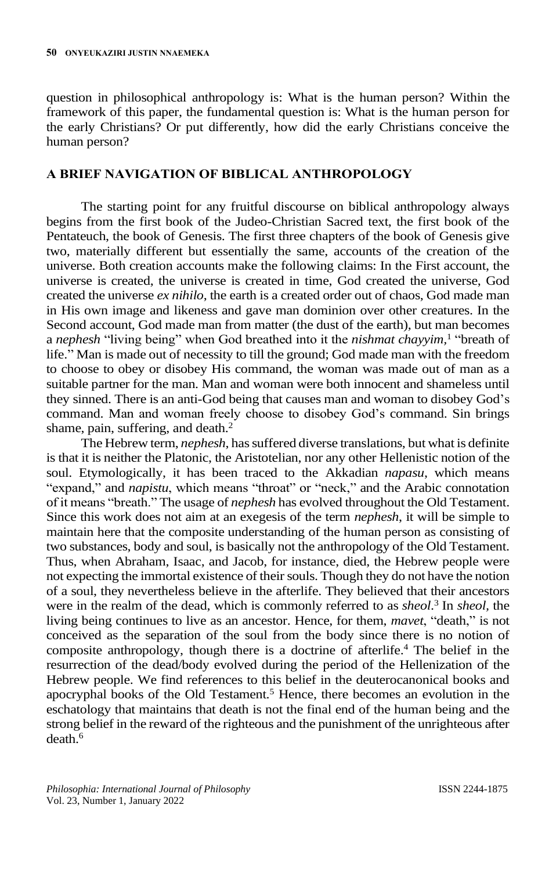question in philosophical anthropology is: What is the human person? Within the framework of this paper, the fundamental question is: What is the human person for the early Christians? Or put differently, how did the early Christians conceive the human person?

#### **A BRIEF NAVIGATION OF BIBLICAL ANTHROPOLOGY**

The starting point for any fruitful discourse on biblical anthropology always begins from the first book of the Judeo-Christian Sacred text, the first book of the Pentateuch, the book of Genesis. The first three chapters of the book of Genesis give two, materially different but essentially the same, accounts of the creation of the universe. Both creation accounts make the following claims: In the First account, the universe is created, the universe is created in time, God created the universe, God created the universe *ex nihilo*, the earth is a created order out of chaos, God made man in His own image and likeness and gave man dominion over other creatures. In the Second account, God made man from matter (the dust of the earth), but man becomes a *nephesh* "living being" when God breathed into it the *nishmat chayyim,* 1 "breath of life." Man is made out of necessity to till the ground; God made man with the freedom to choose to obey or disobey His command, the woman was made out of man as a suitable partner for the man. Man and woman were both innocent and shameless until they sinned. There is an anti-God being that causes man and woman to disobey God's command. Man and woman freely choose to disobey God's command. Sin brings shame, pain, suffering, and death. $<sup>2</sup>$ </sup>

The Hebrew term, *nephesh*, has suffered diverse translations, but what is definite is that it is neither the Platonic, the Aristotelian, nor any other Hellenistic notion of the soul. Etymologically, it has been traced to the Akkadian *napasu*, which means "expand," and *napistu*, which means "throat" or "neck," and the Arabic connotation of it means "breath." The usage of *nephesh* has evolved throughout the Old Testament. Since this work does not aim at an exegesis of the term *nephesh*, it will be simple to maintain here that the composite understanding of the human person as consisting of two substances, body and soul, is basically not the anthropology of the Old Testament. Thus, when Abraham, Isaac, and Jacob, for instance, died, the Hebrew people were not expecting the immortal existence of their souls. Though they do not have the notion of a soul, they nevertheless believe in the afterlife. They believed that their ancestors were in the realm of the dead, which is commonly referred to as *sheol*. 3 In *sheol,* the living being continues to live as an ancestor. Hence, for them, *mavet*, "death," is not conceived as the separation of the soul from the body since there is no notion of composite anthropology, though there is a doctrine of afterlife. <sup>4</sup> The belief in the resurrection of the dead/body evolved during the period of the Hellenization of the Hebrew people. We find references to this belief in the deuterocanonical books and apocryphal books of the Old Testament.<sup>5</sup> Hence, there becomes an evolution in the eschatology that maintains that death is not the final end of the human being and the strong belief in the reward of the righteous and the punishment of the unrighteous after death.6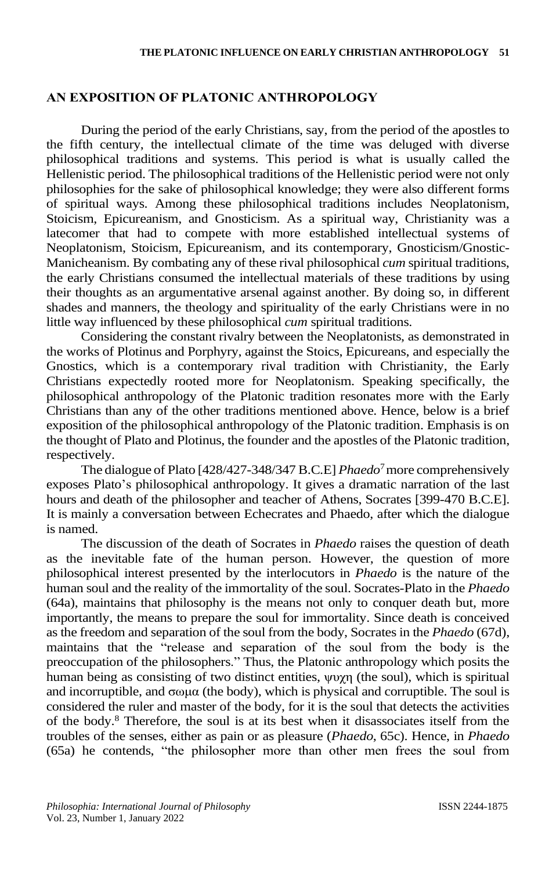# **AN EXPOSITION OF PLATONIC ANTHROPOLOGY**

During the period of the early Christians, say, from the period of the apostles to the fifth century, the intellectual climate of the time was deluged with diverse philosophical traditions and systems. This period is what is usually called the Hellenistic period. The philosophical traditions of the Hellenistic period were not only philosophies for the sake of philosophical knowledge; they were also different forms of spiritual ways. Among these philosophical traditions includes Neoplatonism, Stoicism, Epicureanism, and Gnosticism. As a spiritual way, Christianity was a latecomer that had to compete with more established intellectual systems of Neoplatonism, Stoicism, Epicureanism, and its contemporary, Gnosticism/Gnostic-Manicheanism. By combating any of these rival philosophical *cum* spiritual traditions, the early Christians consumed the intellectual materials of these traditions by using their thoughts as an argumentative arsenal against another. By doing so, in different shades and manners, the theology and spirituality of the early Christians were in no little way influenced by these philosophical *cum* spiritual traditions.

Considering the constant rivalry between the Neoplatonists, as demonstrated in the works of Plotinus and Porphyry, against the Stoics, Epicureans, and especially the Gnostics, which is a contemporary rival tradition with Christianity, the Early Christians expectedly rooted more for Neoplatonism. Speaking specifically, the philosophical anthropology of the Platonic tradition resonates more with the Early Christians than any of the other traditions mentioned above. Hence, below is a brief exposition of the philosophical anthropology of the Platonic tradition. Emphasis is on the thought of Plato and Plotinus, the founder and the apostles of the Platonic tradition, respectively.

The dialogue of Plato [428/427-348/347 B.C.E] *Phaedo*<sup>7</sup>more comprehensively exposes Plato's philosophical anthropology. It gives a dramatic narration of the last hours and death of the philosopher and teacher of Athens, Socrates [399-470 B.C.E]. It is mainly a conversation between Echecrates and Phaedo, after which the dialogue is named.

The discussion of the death of Socrates in *Phaedo* raises the question of death as the inevitable fate of the human person. However, the question of more philosophical interest presented by the interlocutors in *Phaedo* is the nature of the human soul and the reality of the immortality of the soul. Socrates-Plato in the *Phaedo* (64a), maintains that philosophy is the means not only to conquer death but, more importantly, the means to prepare the soul for immortality. Since death is conceived as the freedom and separation of the soul from the body, Socrates in the *Phaedo* (67d), maintains that the "release and separation of the soul from the body is the preoccupation of the philosophers." Thus, the Platonic anthropology which posits the human being as consisting of two distinct entities, ψυχη (the soul), which is spiritual and incorruptible, and  $\sigma \omega \mu \alpha$  (the body), which is physical and corruptible. The soul is considered the ruler and master of the body, for it is the soul that detects the activities of the body.<sup>8</sup> Therefore, the soul is at its best when it disassociates itself from the troubles of the senses, either as pain or as pleasure (*Phaedo*, 65c). Hence, in *Phaedo* (65a) he contends, "the philosopher more than other men frees the soul from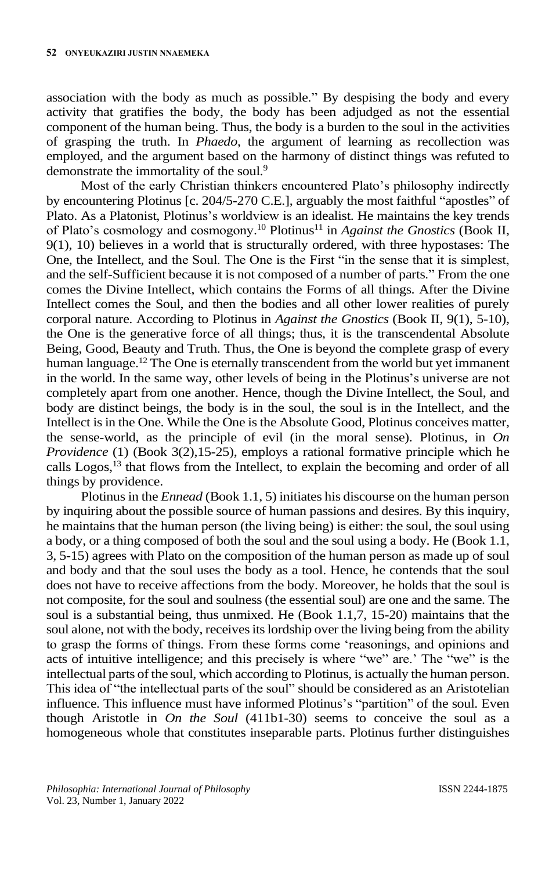association with the body as much as possible." By despising the body and every activity that gratifies the body, the body has been adjudged as not the essential component of the human being. Thus, the body is a burden to the soul in the activities of grasping the truth. In *Phaedo*, the argument of learning as recollection was employed, and the argument based on the harmony of distinct things was refuted to demonstrate the immortality of the soul.<sup>9</sup>

Most of the early Christian thinkers encountered Plato's philosophy indirectly by encountering Plotinus [c. 204/5-270 C.E.], arguably the most faithful "apostles" of Plato. As a Platonist, Plotinus's worldview is an idealist. He maintains the key trends of Plato's cosmology and cosmogony.<sup>10</sup> Plotinus<sup>11</sup> in *Against the Gnostics* (Book II, 9(1), 10) believes in a world that is structurally ordered, with three hypostases: The One, the Intellect, and the Soul. The One is the First "in the sense that it is simplest, and the self-Sufficient because it is not composed of a number of parts." From the one comes the Divine Intellect, which contains the Forms of all things. After the Divine Intellect comes the Soul, and then the bodies and all other lower realities of purely corporal nature. According to Plotinus in *Against the Gnostics* (Book II, 9(1), 5-10), the One is the generative force of all things; thus, it is the transcendental Absolute Being, Good, Beauty and Truth. Thus, the One is beyond the complete grasp of every human language.<sup>12</sup> The One is eternally transcendent from the world but yet immanent in the world. In the same way, other levels of being in the Plotinus's universe are not completely apart from one another. Hence, though the Divine Intellect, the Soul, and body are distinct beings, the body is in the soul, the soul is in the Intellect, and the Intellect is in the One. While the One is the Absolute Good, Plotinus conceives matter, the sense-world, as the principle of evil (in the moral sense). Plotinus, in *On Providence* (1) (Book 3(2),15-25), employs a rational formative principle which he calls Logos,<sup>13</sup> that flows from the Intellect, to explain the becoming and order of all things by providence.

Plotinus in the *Ennead* (Book 1.1, 5) initiates his discourse on the human person by inquiring about the possible source of human passions and desires. By this inquiry, he maintains that the human person (the living being) is either: the soul, the soul using a body, or a thing composed of both the soul and the soul using a body. He (Book 1.1, 3, 5-15) agrees with Plato on the composition of the human person as made up of soul and body and that the soul uses the body as a tool. Hence, he contends that the soul does not have to receive affections from the body. Moreover, he holds that the soul is not composite, for the soul and soulness (the essential soul) are one and the same. The soul is a substantial being, thus unmixed. He (Book 1.1,7, 15-20) maintains that the soul alone, not with the body, receives its lordship over the living being from the ability to grasp the forms of things. From these forms come 'reasonings, and opinions and acts of intuitive intelligence; and this precisely is where "we" are.' The "we" is the intellectual parts of the soul, which according to Plotinus, is actually the human person. This idea of "the intellectual parts of the soul" should be considered as an Aristotelian influence. This influence must have informed Plotinus's "partition" of the soul. Even though Aristotle in *On the Soul* (411b1-30) seems to conceive the soul as a homogeneous whole that constitutes inseparable parts. Plotinus further distinguishes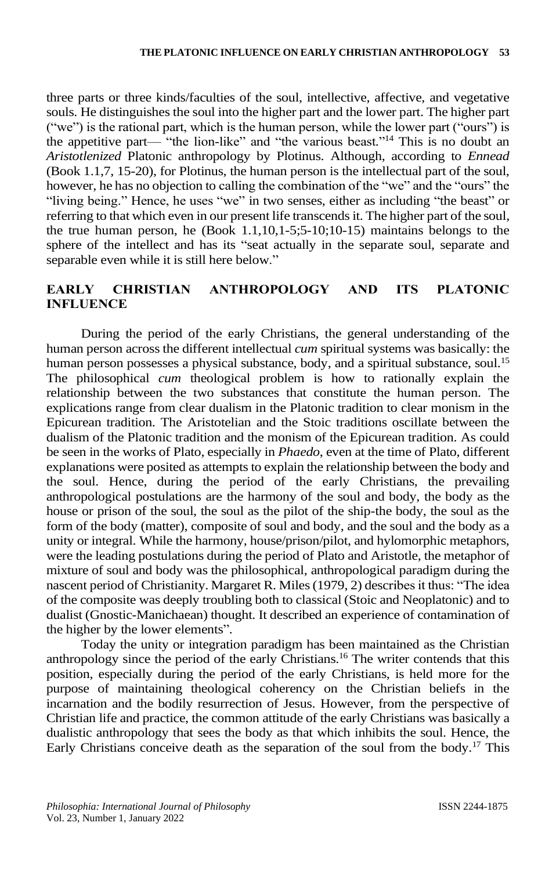three parts or three kinds/faculties of the soul, intellective, affective, and vegetative souls. He distinguishes the soul into the higher part and the lower part. The higher part ("we") is the rational part, which is the human person, while the lower part ("ours") is the appetitive part— "the lion-like" and "the various beast." <sup>14</sup> This is no doubt an *Aristotlenized* Platonic anthropology by Plotinus. Although, according to *Ennead* (Book 1.1,7, 15-20), for Plotinus, the human person is the intellectual part of the soul, however, he has no objection to calling the combination of the "we" and the "ours" the "living being." Hence, he uses "we" in two senses, either as including "the beast" or referring to that which even in our present life transcends it. The higher part of the soul, the true human person, he (Book  $1.1,10,1-5,5-10,10-15$ ) maintains belongs to the sphere of the intellect and has its "seat actually in the separate soul, separate and separable even while it is still here below."

# **EARLY CHRISTIAN ANTHROPOLOGY AND ITS PLATONIC INFLUENCE**

During the period of the early Christians, the general understanding of the human person across the different intellectual *cum* spiritual systems was basically: the human person possesses a physical substance, body, and a spiritual substance, soul.<sup>15</sup> The philosophical *cum* theological problem is how to rationally explain the relationship between the two substances that constitute the human person. The explications range from clear dualism in the Platonic tradition to clear monism in the Epicurean tradition. The Aristotelian and the Stoic traditions oscillate between the dualism of the Platonic tradition and the monism of the Epicurean tradition. As could be seen in the works of Plato, especially in *Phaedo*, even at the time of Plato, different explanations were posited as attempts to explain the relationship between the body and the soul. Hence, during the period of the early Christians, the prevailing anthropological postulations are the harmony of the soul and body, the body as the house or prison of the soul, the soul as the pilot of the ship-the body, the soul as the form of the body (matter), composite of soul and body, and the soul and the body as a unity or integral. While the harmony, house/prison/pilot, and hylomorphic metaphors, were the leading postulations during the period of Plato and Aristotle, the metaphor of mixture of soul and body was the philosophical, anthropological paradigm during the nascent period of Christianity. Margaret R. Miles(1979, 2) describes it thus: "The idea of the composite was deeply troubling both to classical (Stoic and Neoplatonic) and to dualist (Gnostic-Manichaean) thought. It described an experience of contamination of the higher by the lower elements".

Today the unity or integration paradigm has been maintained as the Christian anthropology since the period of the early Christians. <sup>16</sup> The writer contends that this position, especially during the period of the early Christians, is held more for the purpose of maintaining theological coherency on the Christian beliefs in the incarnation and the bodily resurrection of Jesus. However, from the perspective of Christian life and practice, the common attitude of the early Christians was basically a dualistic anthropology that sees the body as that which inhibits the soul. Hence, the Early Christians conceive death as the separation of the soul from the body.<sup>17</sup> This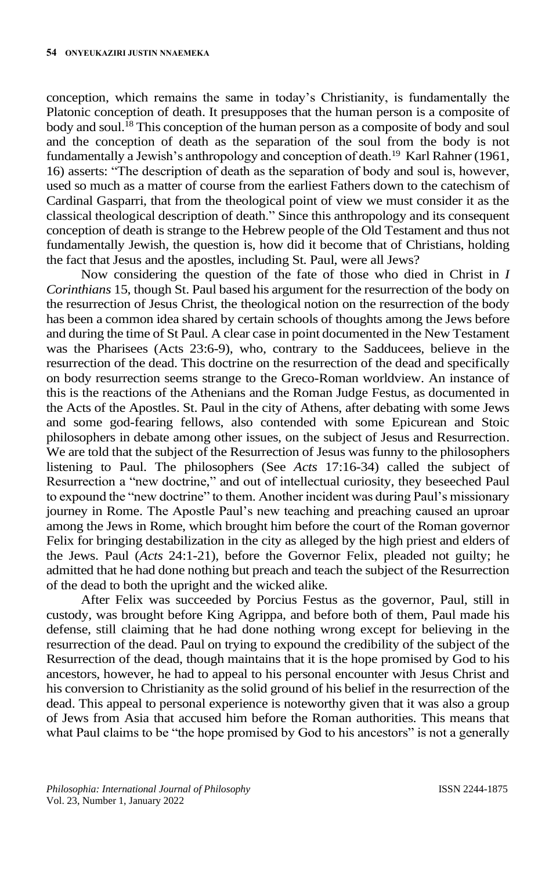conception, which remains the same in today's Christianity, is fundamentally the Platonic conception of death. It presupposes that the human person is a composite of body and soul.<sup>18</sup> This conception of the human person as a composite of body and soul and the conception of death as the separation of the soul from the body is not fundamentally a Jewish's anthropology and conception of death.<sup>19</sup> Karl Rahner (1961, 16) asserts: "The description of death as the separation of body and soul is, however, used so much as a matter of course from the earliest Fathers down to the catechism of Cardinal Gasparri, that from the theological point of view we must consider it as the classical theological description of death." Since this anthropology and its consequent conception of death is strange to the Hebrew people of the Old Testament and thus not fundamentally Jewish, the question is, how did it become that of Christians, holding the fact that Jesus and the apostles, including St. Paul, were all Jews?

Now considering the question of the fate of those who died in Christ in *I Corinthians* 15, though St. Paul based his argument for the resurrection of the body on the resurrection of Jesus Christ, the theological notion on the resurrection of the body has been a common idea shared by certain schools of thoughts among the Jews before and during the time of St Paul. A clear case in point documented in the New Testament was the Pharisees (Acts 23:6-9), who, contrary to the Sadducees, believe in the resurrection of the dead. This doctrine on the resurrection of the dead and specifically on body resurrection seems strange to the Greco-Roman worldview. An instance of this is the reactions of the Athenians and the Roman Judge Festus, as documented in the Acts of the Apostles. St. Paul in the city of Athens, after debating with some Jews and some god-fearing fellows, also contended with some Epicurean and Stoic philosophers in debate among other issues, on the subject of Jesus and Resurrection. We are told that the subject of the Resurrection of Jesus was funny to the philosophers listening to Paul. The philosophers (See *Acts* 17:16-34) called the subject of Resurrection a "new doctrine," and out of intellectual curiosity, they beseeched Paul to expound the "new doctrine" to them. Another incident was during Paul's missionary journey in Rome. The Apostle Paul's new teaching and preaching caused an uproar among the Jews in Rome, which brought him before the court of the Roman governor Felix for bringing destabilization in the city as alleged by the high priest and elders of the Jews. Paul (*Acts* 24:1-21), before the Governor Felix, pleaded not guilty; he admitted that he had done nothing but preach and teach the subject of the Resurrection of the dead to both the upright and the wicked alike.

After Felix was succeeded by Porcius Festus as the governor, Paul, still in custody, was brought before King Agrippa, and before both of them, Paul made his defense, still claiming that he had done nothing wrong except for believing in the resurrection of the dead. Paul on trying to expound the credibility of the subject of the Resurrection of the dead, though maintains that it is the hope promised by God to his ancestors, however, he had to appeal to his personal encounter with Jesus Christ and his conversion to Christianity as the solid ground of his belief in the resurrection of the dead. This appeal to personal experience is noteworthy given that it was also a group of Jews from Asia that accused him before the Roman authorities. This means that what Paul claims to be "the hope promised by God to his ancestors" is not a generally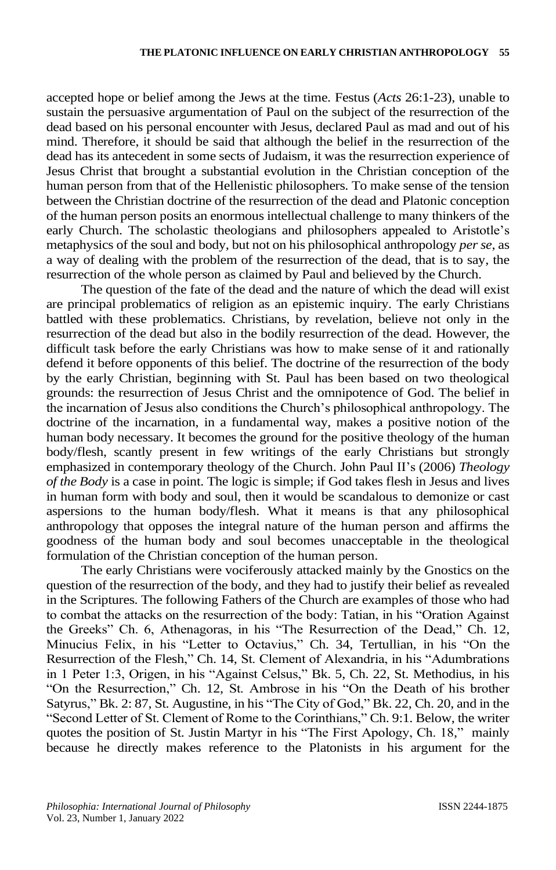accepted hope or belief among the Jews at the time. Festus (*Acts* 26:1-23), unable to sustain the persuasive argumentation of Paul on the subject of the resurrection of the dead based on his personal encounter with Jesus, declared Paul as mad and out of his mind. Therefore, it should be said that although the belief in the resurrection of the dead has its antecedent in some sects of Judaism, it was the resurrection experience of Jesus Christ that brought a substantial evolution in the Christian conception of the human person from that of the Hellenistic philosophers. To make sense of the tension between the Christian doctrine of the resurrection of the dead and Platonic conception of the human person posits an enormous intellectual challenge to many thinkers of the early Church. The scholastic theologians and philosophers appealed to Aristotle's metaphysics of the soul and body, but not on his philosophical anthropology *per se*, as a way of dealing with the problem of the resurrection of the dead, that is to say, the resurrection of the whole person as claimed by Paul and believed by the Church.

The question of the fate of the dead and the nature of which the dead will exist are principal problematics of religion as an epistemic inquiry. The early Christians battled with these problematics. Christians, by revelation, believe not only in the resurrection of the dead but also in the bodily resurrection of the dead. However, the difficult task before the early Christians was how to make sense of it and rationally defend it before opponents of this belief. The doctrine of the resurrection of the body by the early Christian, beginning with St. Paul has been based on two theological grounds: the resurrection of Jesus Christ and the omnipotence of God. The belief in the incarnation of Jesus also conditions the Church's philosophical anthropology. The doctrine of the incarnation, in a fundamental way, makes a positive notion of the human body necessary. It becomes the ground for the positive theology of the human body/flesh, scantly present in few writings of the early Christians but strongly emphasized in contemporary theology of the Church. John Paul II's (2006) *Theology of the Body* is a case in point. The logic is simple; if God takes flesh in Jesus and lives in human form with body and soul, then it would be scandalous to demonize or cast aspersions to the human body/flesh. What it means is that any philosophical anthropology that opposes the integral nature of the human person and affirms the goodness of the human body and soul becomes unacceptable in the theological formulation of the Christian conception of the human person.

The early Christians were vociferously attacked mainly by the Gnostics on the question of the resurrection of the body, and they had to justify their belief as revealed in the Scriptures. The following Fathers of the Church are examples of those who had to combat the attacks on the resurrection of the body: Tatian, in his "Oration Against the Greeks" Ch. 6, Athenagoras, in his "The Resurrection of the Dead," Ch. 12, Minucius Felix, in his "Letter to Octavius," Ch. 34, Tertullian, in his "On the Resurrection of the Flesh," Ch. 14, St. Clement of Alexandria, in his "Adumbrations in 1 Peter 1:3, Origen, in his "Against Celsus," Bk. 5, Ch. 22, St. Methodius, in his "On the Resurrection," Ch. 12, St. Ambrose in his "On the Death of his brother Satyrus," Bk. 2: 87, St. Augustine, in his "The City of God," Bk. 22, Ch. 20, and in the "Second Letter of St. Clement of Rome to the Corinthians," Ch. 9:1. Below, the writer quotes the position of St. Justin Martyr in his "The First Apology, Ch. 18," mainly because he directly makes reference to the Platonists in his argument for the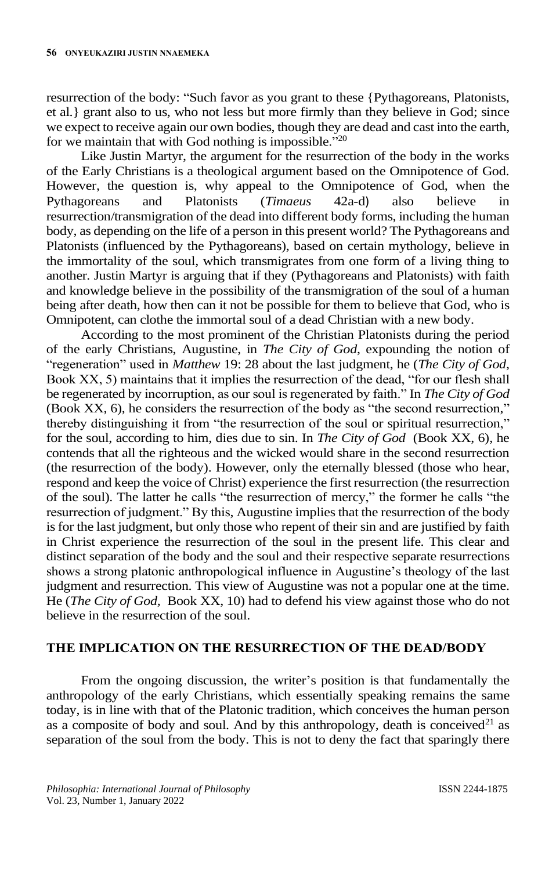resurrection of the body: "Such favor as you grant to these {Pythagoreans, Platonists, et al.} grant also to us, who not less but more firmly than they believe in God; since we expect to receive again our own bodies, though they are dead and cast into the earth, for we maintain that with God nothing is impossible."<sup>20</sup>

Like Justin Martyr, the argument for the resurrection of the body in the works of the Early Christians is a theological argument based on the Omnipotence of God. However, the question is, why appeal to the Omnipotence of God, when the Pythagoreans and Platonists (*Timaeus* 42a-d) also believe in resurrection/transmigration of the dead into different body forms, including the human body, as depending on the life of a person in this present world? The Pythagoreans and Platonists (influenced by the Pythagoreans), based on certain mythology, believe in the immortality of the soul, which transmigrates from one form of a living thing to another. Justin Martyr is arguing that if they (Pythagoreans and Platonists) with faith and knowledge believe in the possibility of the transmigration of the soul of a human being after death, how then can it not be possible for them to believe that God, who is Omnipotent, can clothe the immortal soul of a dead Christian with a new body.

According to the most prominent of the Christian Platonists during the period of the early Christians, Augustine, in *The City of God*, expounding the notion of "regeneration" used in *Matthew* 19: 28 about the last judgment, he (*The City of God*, Book XX, 5) maintains that it implies the resurrection of the dead, "for our flesh shall be regenerated by incorruption, as our soul is regenerated by faith." In *The City of God* (Book XX, 6), he considers the resurrection of the body as "the second resurrection," thereby distinguishing it from "the resurrection of the soul or spiritual resurrection," for the soul, according to him, dies due to sin. In *The City of God* (Book XX, 6), he contends that all the righteous and the wicked would share in the second resurrection (the resurrection of the body). However, only the eternally blessed (those who hear, respond and keep the voice of Christ) experience the first resurrection (the resurrection of the soul). The latter he calls "the resurrection of mercy," the former he calls "the resurrection of judgment." By this, Augustine implies that the resurrection of the body is for the last judgment, but only those who repent of their sin and are justified by faith in Christ experience the resurrection of the soul in the present life. This clear and distinct separation of the body and the soul and their respective separate resurrections shows a strong platonic anthropological influence in Augustine's theology of the last judgment and resurrection. This view of Augustine was not a popular one at the time. He (*The City of God,* Book XX, 10) had to defend his view against those who do not believe in the resurrection of the soul.

## **THE IMPLICATION ON THE RESURRECTION OF THE DEAD/BODY**

From the ongoing discussion, the writer's position is that fundamentally the anthropology of the early Christians, which essentially speaking remains the same today, is in line with that of the Platonic tradition, which conceives the human person as a composite of body and soul. And by this anthropology, death is conceived $2<sup>1</sup>$  as separation of the soul from the body. This is not to deny the fact that sparingly there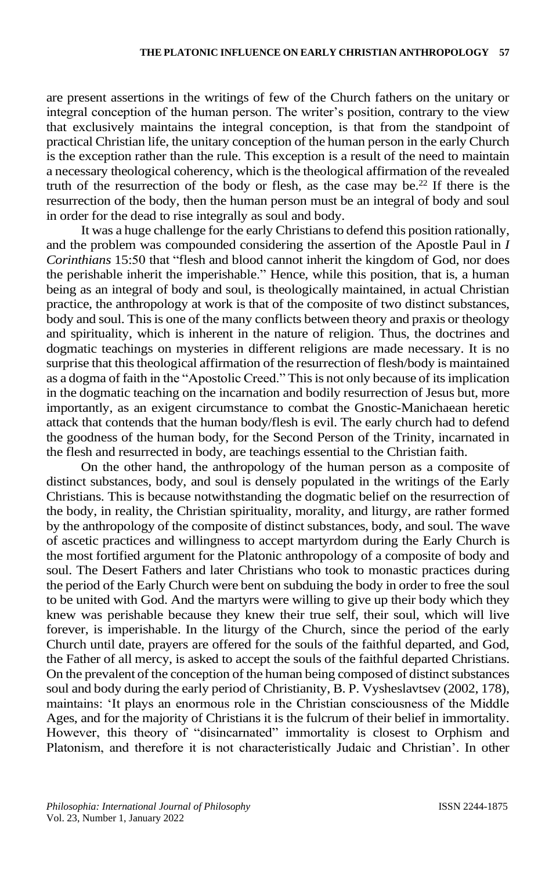are present assertions in the writings of few of the Church fathers on the unitary or integral conception of the human person. The writer's position, contrary to the view that exclusively maintains the integral conception, is that from the standpoint of practical Christian life, the unitary conception of the human person in the early Church is the exception rather than the rule. This exception is a result of the need to maintain a necessary theological coherency, which is the theological affirmation of the revealed truth of the resurrection of the body or flesh, as the case may be.<sup>22</sup> If there is the resurrection of the body, then the human person must be an integral of body and soul in order for the dead to rise integrally as soul and body.

It was a huge challenge for the early Christians to defend this position rationally, and the problem was compounded considering the assertion of the Apostle Paul in *I Corinthians* 15:50 that "flesh and blood cannot inherit the kingdom of God, nor does the perishable inherit the imperishable." Hence, while this position, that is, a human being as an integral of body and soul, is theologically maintained, in actual Christian practice, the anthropology at work is that of the composite of two distinct substances, body and soul. This is one of the many conflicts between theory and praxis or theology and spirituality, which is inherent in the nature of religion. Thus, the doctrines and dogmatic teachings on mysteries in different religions are made necessary. It is no surprise that this theological affirmation of the resurrection of flesh/body is maintained as a dogma of faith in the "Apostolic Creed." This is not only because of its implication in the dogmatic teaching on the incarnation and bodily resurrection of Jesus but, more importantly, as an exigent circumstance to combat the Gnostic-Manichaean heretic attack that contends that the human body/flesh is evil. The early church had to defend the goodness of the human body, for the Second Person of the Trinity, incarnated in the flesh and resurrected in body, are teachings essential to the Christian faith.

On the other hand, the anthropology of the human person as a composite of distinct substances, body, and soul is densely populated in the writings of the Early Christians. This is because notwithstanding the dogmatic belief on the resurrection of the body, in reality, the Christian spirituality, morality, and liturgy, are rather formed by the anthropology of the composite of distinct substances, body, and soul. The wave of ascetic practices and willingness to accept martyrdom during the Early Church is the most fortified argument for the Platonic anthropology of a composite of body and soul. The Desert Fathers and later Christians who took to monastic practices during the period of the Early Church were bent on subduing the body in order to free the soul to be united with God. And the martyrs were willing to give up their body which they knew was perishable because they knew their true self, their soul, which will live forever, is imperishable. In the liturgy of the Church, since the period of the early Church until date, prayers are offered for the souls of the faithful departed, and God, the Father of all mercy, is asked to accept the souls of the faithful departed Christians. On the prevalent of the conception of the human being composed of distinct substances soul and body during the early period of Christianity, B. P. Vysheslavtsev (2002, 178), maintains: 'It plays an enormous role in the Christian consciousness of the Middle Ages, and for the majority of Christians it is the fulcrum of their belief in immortality. However, this theory of "disincarnated" immortality is closest to Orphism and Platonism, and therefore it is not characteristically Judaic and Christian'. In other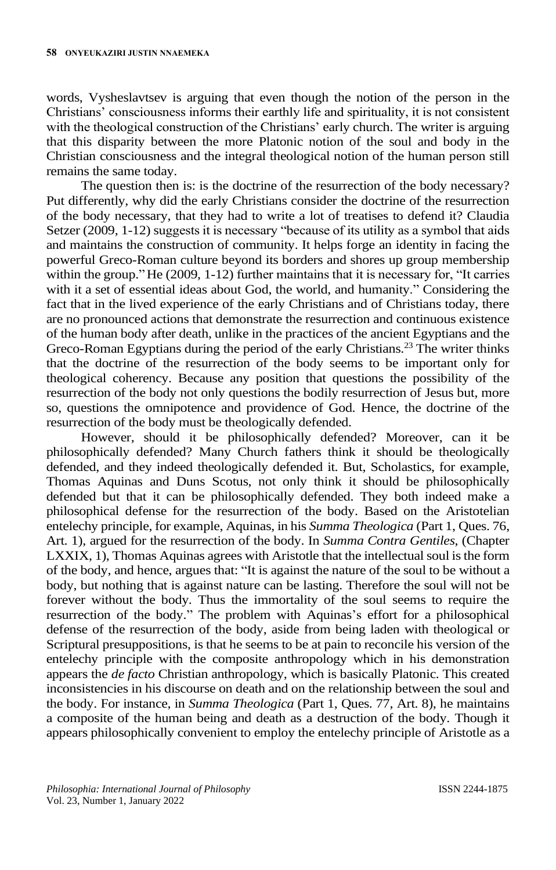words, Vysheslavtsev is arguing that even though the notion of the person in the Christians' consciousness informs their earthly life and spirituality, it is not consistent with the theological construction of the Christians' early church. The writer is arguing that this disparity between the more Platonic notion of the soul and body in the Christian consciousness and the integral theological notion of the human person still remains the same today.

The question then is: is the doctrine of the resurrection of the body necessary? Put differently, why did the early Christians consider the doctrine of the resurrection of the body necessary, that they had to write a lot of treatises to defend it? Claudia Setzer (2009, 1-12) suggests it is necessary "because of its utility as a symbol that aids and maintains the construction of community. It helps forge an identity in facing the powerful Greco-Roman culture beyond its borders and shores up group membership within the group."He (2009, 1-12) further maintains that it is necessary for, "It carries with it a set of essential ideas about God, the world, and humanity." Considering the fact that in the lived experience of the early Christians and of Christians today, there are no pronounced actions that demonstrate the resurrection and continuous existence of the human body after death, unlike in the practices of the ancient Egyptians and the Greco-Roman Egyptians during the period of the early Christians.<sup>23</sup> The writer thinks that the doctrine of the resurrection of the body seems to be important only for theological coherency. Because any position that questions the possibility of the resurrection of the body not only questions the bodily resurrection of Jesus but, more so, questions the omnipotence and providence of God. Hence, the doctrine of the resurrection of the body must be theologically defended.

However, should it be philosophically defended? Moreover, can it be philosophically defended? Many Church fathers think it should be theologically defended, and they indeed theologically defended it. But, Scholastics, for example, Thomas Aquinas and Duns Scotus, not only think it should be philosophically defended but that it can be philosophically defended. They both indeed make a philosophical defense for the resurrection of the body. Based on the Aristotelian entelechy principle, for example, Aquinas, in his *Summa Theologica* (Part 1, Ques. 76, Art. 1), argued for the resurrection of the body. In *Summa Contra Gentiles*, (Chapter LXXIX, 1), Thomas Aquinas agrees with Aristotle that the intellectual soul is the form of the body, and hence, argues that: "It is against the nature of the soul to be without a body, but nothing that is against nature can be lasting. Therefore the soul will not be forever without the body. Thus the immortality of the soul seems to require the resurrection of the body." The problem with Aquinas's effort for a philosophical defense of the resurrection of the body, aside from being laden with theological or Scriptural presuppositions, is that he seems to be at pain to reconcile his version of the entelechy principle with the composite anthropology which in his demonstration appears the *de facto* Christian anthropology, which is basically Platonic. This created inconsistencies in his discourse on death and on the relationship between the soul and the body. For instance, in *Summa Theologica* (Part 1, Ques. 77, Art. 8), he maintains a composite of the human being and death as a destruction of the body. Though it appears philosophically convenient to employ the entelechy principle of Aristotle as a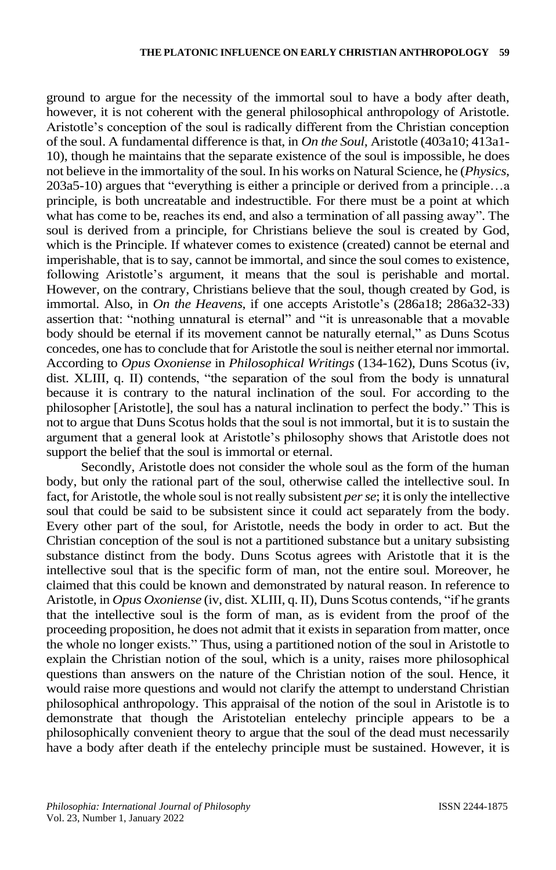ground to argue for the necessity of the immortal soul to have a body after death, however, it is not coherent with the general philosophical anthropology of Aristotle. Aristotle's conception of the soul is radically different from the Christian conception of the soul. A fundamental difference is that, in *On the Soul*, Aristotle (403a10; 413a1- 10), though he maintains that the separate existence of the soul is impossible, he does not believe in the immortality of the soul. In his works on Natural Science, he (*Physics*, 203a5-10) argues that "everything is either a principle or derived from a principle…a principle, is both uncreatable and indestructible. For there must be a point at which what has come to be, reaches its end, and also a termination of all passing away". The soul is derived from a principle, for Christians believe the soul is created by God, which is the Principle. If whatever comes to existence (created) cannot be eternal and imperishable, that is to say, cannot be immortal, and since the soul comes to existence, following Aristotle's argument, it means that the soul is perishable and mortal. However, on the contrary, Christians believe that the soul, though created by God, is immortal. Also, in *On the Heavens*, if one accepts Aristotle's (286a18; 286a32-33) assertion that: "nothing unnatural is eternal" and "it is unreasonable that a movable body should be eternal if its movement cannot be naturally eternal," as Duns Scotus concedes, one hasto conclude that for Aristotle the soul is neither eternal nor immortal. According to *Opus Oxoniense* in *Philosophical Writings* (134-162), Duns Scotus (iv, dist. XLIII, q. II) contends, "the separation of the soul from the body is unnatural because it is contrary to the natural inclination of the soul. For according to the philosopher [Aristotle], the soul has a natural inclination to perfect the body." This is not to argue that Duns Scotus holds that the soul is not immortal, but it is to sustain the argument that a general look at Aristotle's philosophy shows that Aristotle does not support the belief that the soul is immortal or eternal.

Secondly, Aristotle does not consider the whole soul as the form of the human body, but only the rational part of the soul, otherwise called the intellective soul. In fact, for Aristotle, the whole soul is not really subsistent *per se*; it is only the intellective soul that could be said to be subsistent since it could act separately from the body. Every other part of the soul, for Aristotle, needs the body in order to act. But the Christian conception of the soul is not a partitioned substance but a unitary subsisting substance distinct from the body. Duns Scotus agrees with Aristotle that it is the intellective soul that is the specific form of man, not the entire soul. Moreover, he claimed that this could be known and demonstrated by natural reason. In reference to Aristotle, in *Opus Oxoniense* (iv, dist. XLIII, q. II), Duns Scotus contends, "if he grants that the intellective soul is the form of man, as is evident from the proof of the proceeding proposition, he does not admit that it exists in separation from matter, once the whole no longer exists." Thus, using a partitioned notion of the soul in Aristotle to explain the Christian notion of the soul, which is a unity, raises more philosophical questions than answers on the nature of the Christian notion of the soul. Hence, it would raise more questions and would not clarify the attempt to understand Christian philosophical anthropology. This appraisal of the notion of the soul in Aristotle is to demonstrate that though the Aristotelian entelechy principle appears to be a philosophically convenient theory to argue that the soul of the dead must necessarily have a body after death if the entelechy principle must be sustained. However, it is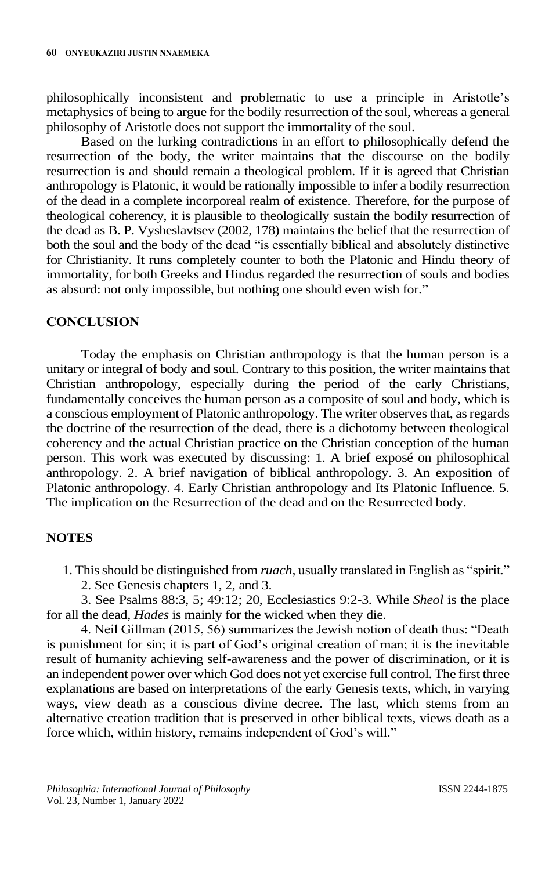philosophically inconsistent and problematic to use a principle in Aristotle's metaphysics of being to argue for the bodily resurrection of the soul, whereas a general philosophy of Aristotle does not support the immortality of the soul.

Based on the lurking contradictions in an effort to philosophically defend the resurrection of the body, the writer maintains that the discourse on the bodily resurrection is and should remain a theological problem. If it is agreed that Christian anthropology is Platonic, it would be rationally impossible to infer a bodily resurrection of the dead in a complete incorporeal realm of existence. Therefore, for the purpose of theological coherency, it is plausible to theologically sustain the bodily resurrection of the dead as B. P. Vysheslavtsev (2002, 178) maintains the belief that the resurrection of both the soul and the body of the dead "is essentially biblical and absolutely distinctive for Christianity. It runs completely counter to both the Platonic and Hindu theory of immortality, for both Greeks and Hindus regarded the resurrection of souls and bodies as absurd: not only impossible, but nothing one should even wish for."

## **CONCLUSION**

Today the emphasis on Christian anthropology is that the human person is a unitary or integral of body and soul. Contrary to this position, the writer maintains that Christian anthropology, especially during the period of the early Christians, fundamentally conceives the human person as a composite of soul and body, which is a conscious employment of Platonic anthropology. The writer observes that, as regards the doctrine of the resurrection of the dead, there is a dichotomy between theological coherency and the actual Christian practice on the Christian conception of the human person. This work was executed by discussing: 1. A brief exposé on philosophical anthropology. 2. A brief navigation of biblical anthropology. 3. An exposition of Platonic anthropology. 4. Early Christian anthropology and Its Platonic Influence. 5. The implication on the Resurrection of the dead and on the Resurrected body.

## **NOTES**

- 1. This should be distinguished from *ruach*, usually translated in English as "spirit."
	- 2. See Genesis chapters 1, 2, and 3.

3. See Psalms 88:3, 5; 49:12; 20, Ecclesiastics 9:2-3. While *Sheol* is the place for all the dead, *Hades* is mainly for the wicked when they die.

4. Neil Gillman (2015, 56) summarizes the Jewish notion of death thus: "Death is punishment for sin; it is part of God's original creation of man; it is the inevitable result of humanity achieving self-awareness and the power of discrimination, or it is an independent power over which God does not yet exercise full control. The first three explanations are based on interpretations of the early Genesis texts, which, in varying ways, view death as a conscious divine decree. The last, which stems from an alternative creation tradition that is preserved in other biblical texts, views death as a force which, within history, remains independent of God's will."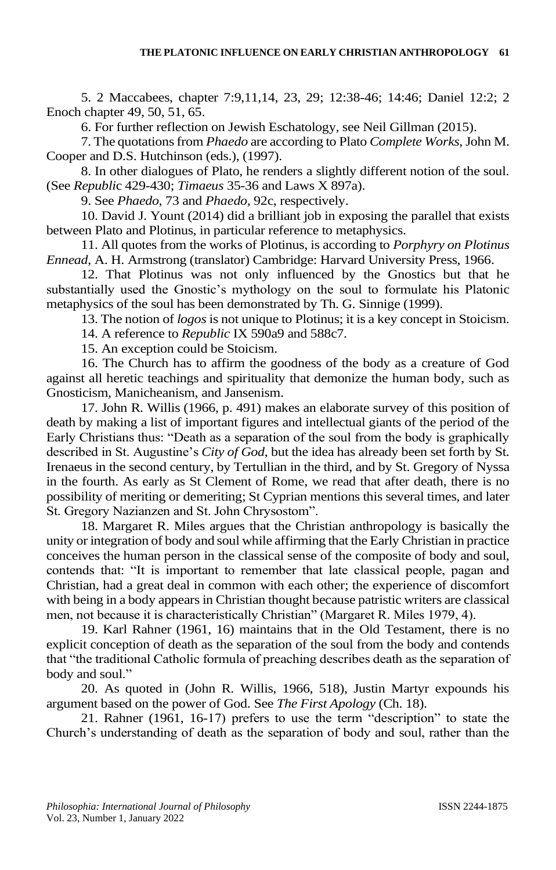5. 2 Maccabees, chapter 7:9,11,14, 23, 29; 12:38-46; 14:46; Daniel 12:2; 2 Enoch chapter 49, 50, 51, 65.

6. For further reflection on Jewish Eschatology, see Neil Gillman (2015).

7. The quotations from *Phaedo* are according to Plato *Complete Works*, John M. Cooper and D.S. Hutchinson (eds.), (1997).

8. In other dialogues of Plato, he renders a slightly different notion of the soul. (See *Republi*c 429-430; *Timaeus* 35-36 and Laws X 897a).

9. See *Phaedo*, 73 and *Phaedo*, 92c, respectively.

10. David J. Yount (2014) did a brilliant job in exposing the parallel that exists between Plato and Plotinus, in particular reference to metaphysics.

11. All quotes from the works of Plotinus, is according to *Porphyry on Plotinus Ennead*, A. H. Armstrong (translator) Cambridge: Harvard University Press, 1966.

12. That Plotinus was not only influenced by the Gnostics but that he substantially used the Gnostic's mythology on the soul to formulate his Platonic metaphysics of the soul has been demonstrated by Th. G. Sinnige (1999).

13. The notion of *logos* is not unique to Plotinus; it is a key concept in Stoicism.

14. A reference to *Republic* IX 590a9 and 588c7.

15. An exception could be Stoicism.

16. The Church has to affirm the goodness of the body as a creature of God against all heretic teachings and spirituality that demonize the human body, such as Gnosticism, Manicheanism, and Jansenism.

17. John R. Willis (1966, p. 491) makes an elaborate survey of this position of death by making a list of important figures and intellectual giants of the period of the Early Christians thus: "Death as a separation of the soul from the body is graphically described in St. Augustine's *City of God*, but the idea has already been set forth by St. Irenaeus in the second century, by Tertullian in the third, and by St. Gregory of Nyssa in the fourth. As early as St Clement of Rome, we read that after death, there is no possibility of meriting or demeriting; St Cyprian mentions this several times, and later St. Gregory Nazianzen and St. John Chrysostom".

18. Margaret R. Miles argues that the Christian anthropology is basically the unity or integration of body and soul while affirming that the Early Christian in practice conceives the human person in the classical sense of the composite of body and soul, contends that: "It is important to remember that late classical people, pagan and Christian, had a great deal in common with each other; the experience of discomfort with being in a body appears in Christian thought because patristic writers are classical men, not because it is characteristically Christian" (Margaret R. Miles 1979, 4).

19. Karl Rahner (1961, 16) maintains that in the Old Testament, there is no explicit conception of death as the separation of the soul from the body and contends that "the traditional Catholic formula of preaching describes death as the separation of body and soul."

20. As quoted in (John R. Willis, 1966, 518), Justin Martyr expounds his argument based on the power of God. See *The First Apology* (Ch. 18).

21. Rahner (1961, 16-17) prefers to use the term "description" to state the Church's understanding of death as the separation of body and soul, rather than the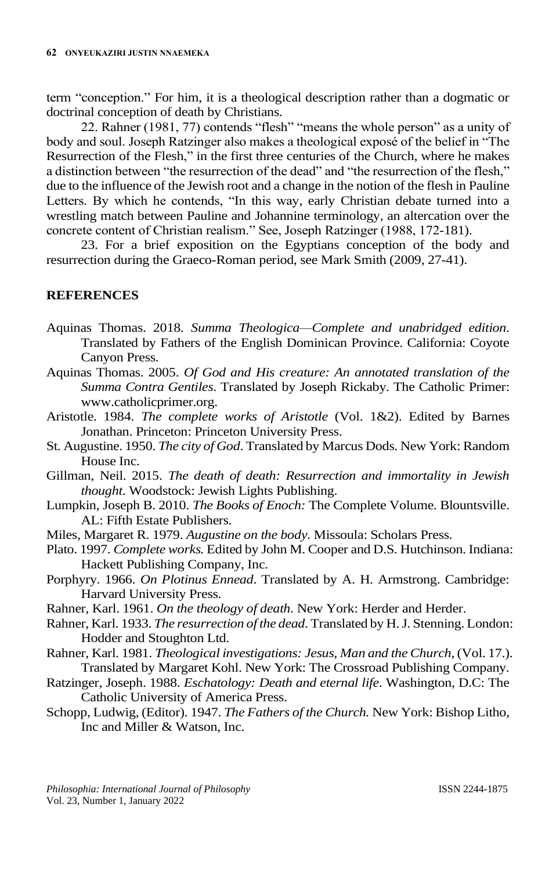term "conception." For him, it is a theological description rather than a dogmatic or doctrinal conception of death by Christians.

22. Rahner (1981, 77) contends "flesh" "means the whole person" as a unity of body and soul. Joseph Ratzinger also makes a theological exposé of the belief in "The Resurrection of the Flesh," in the first three centuries of the Church, where he makes a distinction between "the resurrection of the dead" and "the resurrection of the flesh," due to the influence of the Jewish root and a change in the notion of the flesh in Pauline Letters. By which he contends, "In this way, early Christian debate turned into a wrestling match between Pauline and Johannine terminology, an altercation over the concrete content of Christian realism." See, Joseph Ratzinger (1988, 172-181).

23. For a brief exposition on the Egyptians conception of the body and resurrection during the Graeco-Roman period, see Mark Smith (2009, 27-41).

# **REFERENCES**

- Aquinas Thomas. 2018. *Summa Theologica—Complete and unabridged edition*. Translated by Fathers of the English Dominican Province. California: Coyote Canyon Press.
- Aquinas Thomas. 2005. *Of God and His creature: An annotated translation of the Summa Contra Gentiles*. Translated by Joseph Rickaby. The Catholic Primer: www.catholicprimer.org.
- Aristotle. 1984. *The complete works of Aristotle* (Vol. 1&2). Edited by Barnes Jonathan. Princeton: Princeton University Press.
- St. Augustine. 1950. *The city of God*. Translated by Marcus Dods. New York: Random House Inc.
- Gillman, Neil. 2015. *The death of death: Resurrection and immortality in Jewish thought*. Woodstock: Jewish Lights Publishing.
- Lumpkin, Joseph B. 2010. *The Books of Enoch:* The Complete Volume. Blountsville. AL: Fifth Estate Publishers.
- Miles, Margaret R. 1979. *Augustine on the body*. Missoula: Scholars Press.
- Plato. 1997. *Complete works.* Edited by John M. Cooper and D.S. Hutchinson. Indiana: Hackett Publishing Company, Inc.
- Porphyry. 1966. *On Plotinus Ennead*. Translated by A. H. Armstrong. Cambridge: Harvard University Press.
- Rahner, Karl. 1961. *On the theology of death*. New York: Herder and Herder.
- Rahner, Karl. 1933. *The resurrection of the dead*. Translated by H. J. Stenning. London: Hodder and Stoughton Ltd.
- Rahner, Karl. 1981. *Theological investigations: Jesus, Man and the Church*, (Vol. 17.). Translated by Margaret Kohl. New York: The Crossroad Publishing Company.
- Ratzinger, Joseph. 1988. *Eschatology: Death and eternal life*. Washington, D.C: The Catholic University of America Press.
- Schopp, Ludwig, (Editor). 1947. *The Fathers of the Church.* New York: Bishop Litho, Inc and Miller & Watson, Inc.